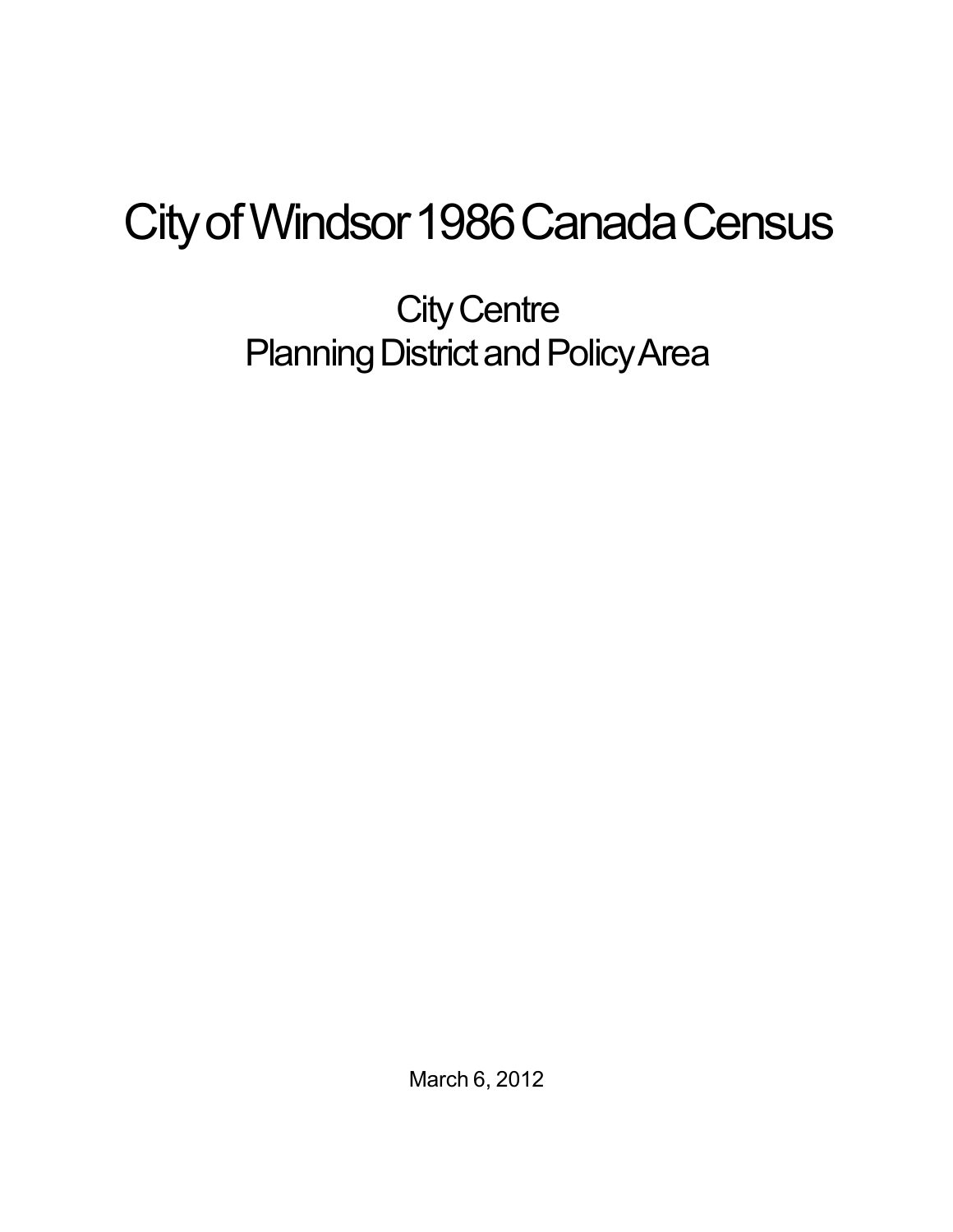## City of Windsor 1986 Canada Census

**City Centre** Planning District and Policy Area

March 6, 2012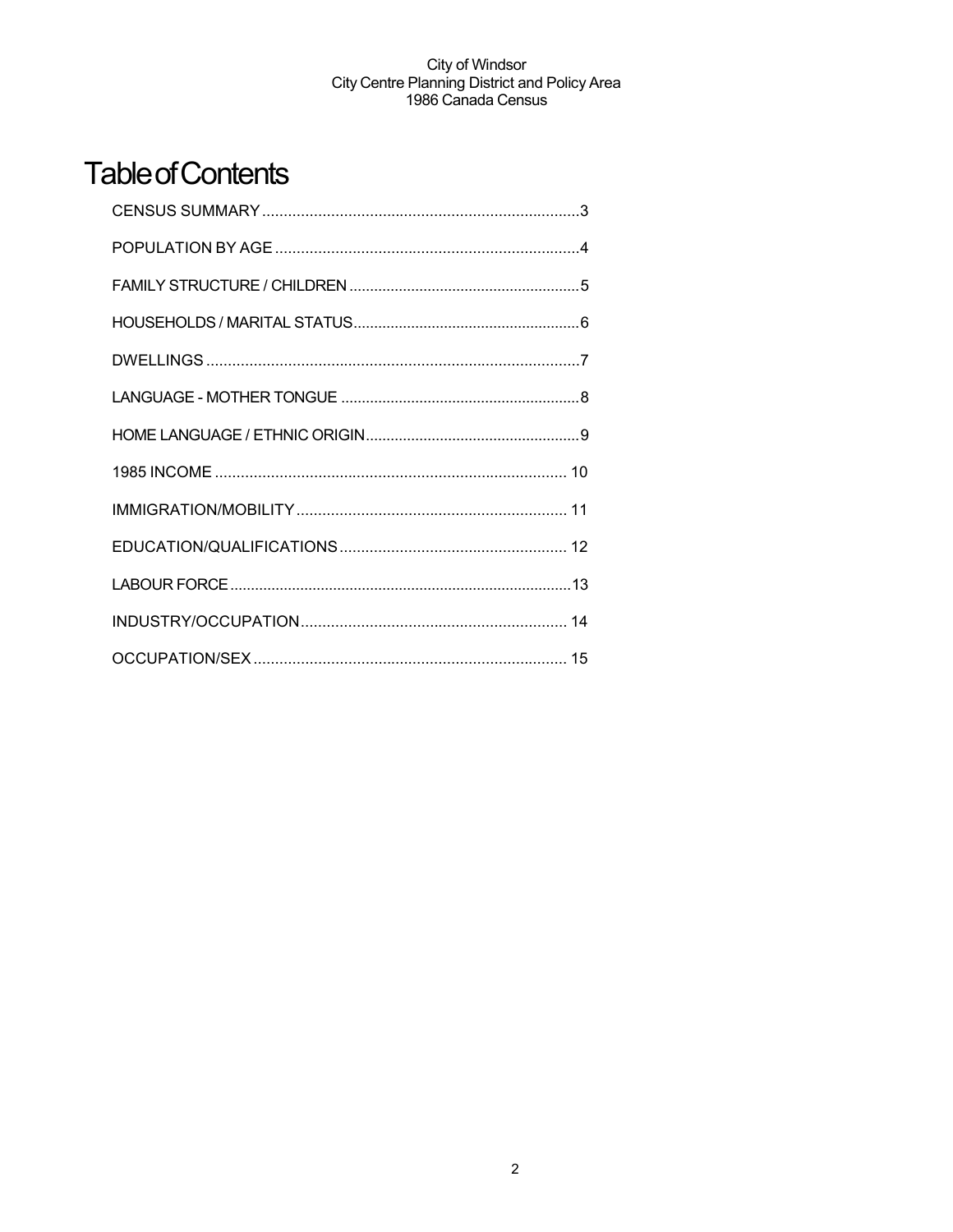## **Table of Contents**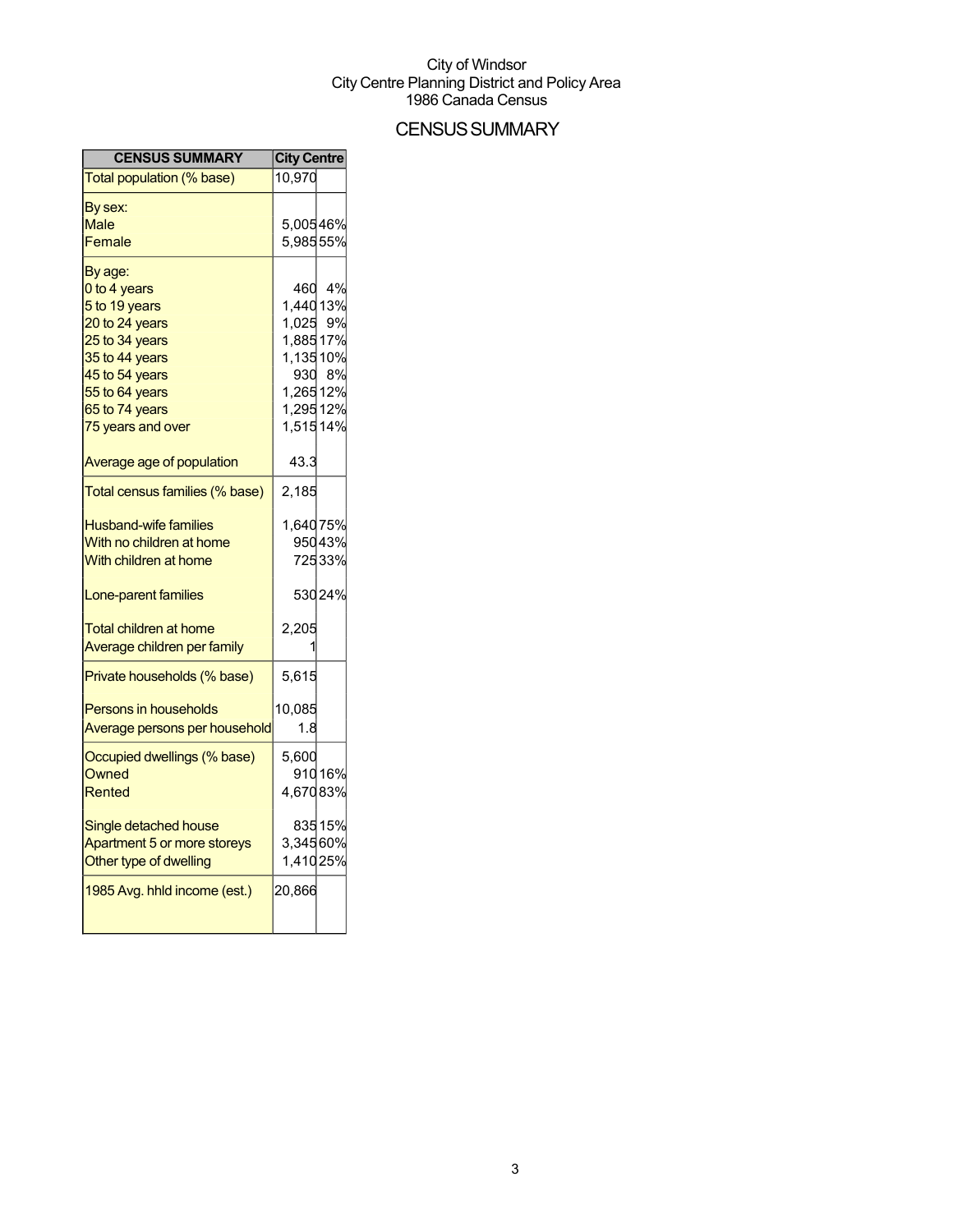### **CENSUS SUMMARY**

| <b>CENSUS SUMMARY</b>          | <b>City Centre</b> |        |
|--------------------------------|--------------------|--------|
| Total population (% base)      | 10,970             |        |
| By sex:                        |                    |        |
| Male                           | 5,00546%           |        |
| Female                         | 5,98555%           |        |
| By age:                        |                    |        |
| 0 to 4 years                   | 460                | 4%     |
| 5 to 19 years                  | 1,44013%           |        |
| 20 to 24 years                 | 1,025 9%           |        |
| 25 to 34 years                 | 1,88517%           |        |
| 35 to 44 years                 | 1,13510%           |        |
| 45 to 54 years                 |                    | 930 8% |
| 55 to 64 years                 | 1,26512%           |        |
| 65 to 74 years                 | 1,29512%           |        |
| 75 years and over              | 1,51514%           |        |
| Average age of population      | 43.3               |        |
| Total census families (% base) | 2,185              |        |
| <b>Husband-wife families</b>   | 1,64075%           |        |
| With no children at home       |                    | 95043% |
| With children at home          |                    | 72533% |
|                                |                    |        |
| Lone-parent families           |                    | 53024% |
| <b>Total children at home</b>  | 2,205              |        |
| Average children per family    |                    |        |
| Private households (% base)    | 5,615              |        |
| <b>Persons in households</b>   | 10,085             |        |
| Average persons per household  | 1.8                |        |
| Occupied dwellings (% base)    | 5,600              |        |
| Owned                          |                    | 91016% |
| Rented                         | 4,67083%           |        |
| Single detached house          |                    | 83515% |
| Apartment 5 or more storeys    | 3,34560%           |        |
| Other type of dwelling         | 1,41025%           |        |
| 1985 Avg. hhld income (est.)   | 20,866             |        |
|                                |                    |        |
|                                |                    |        |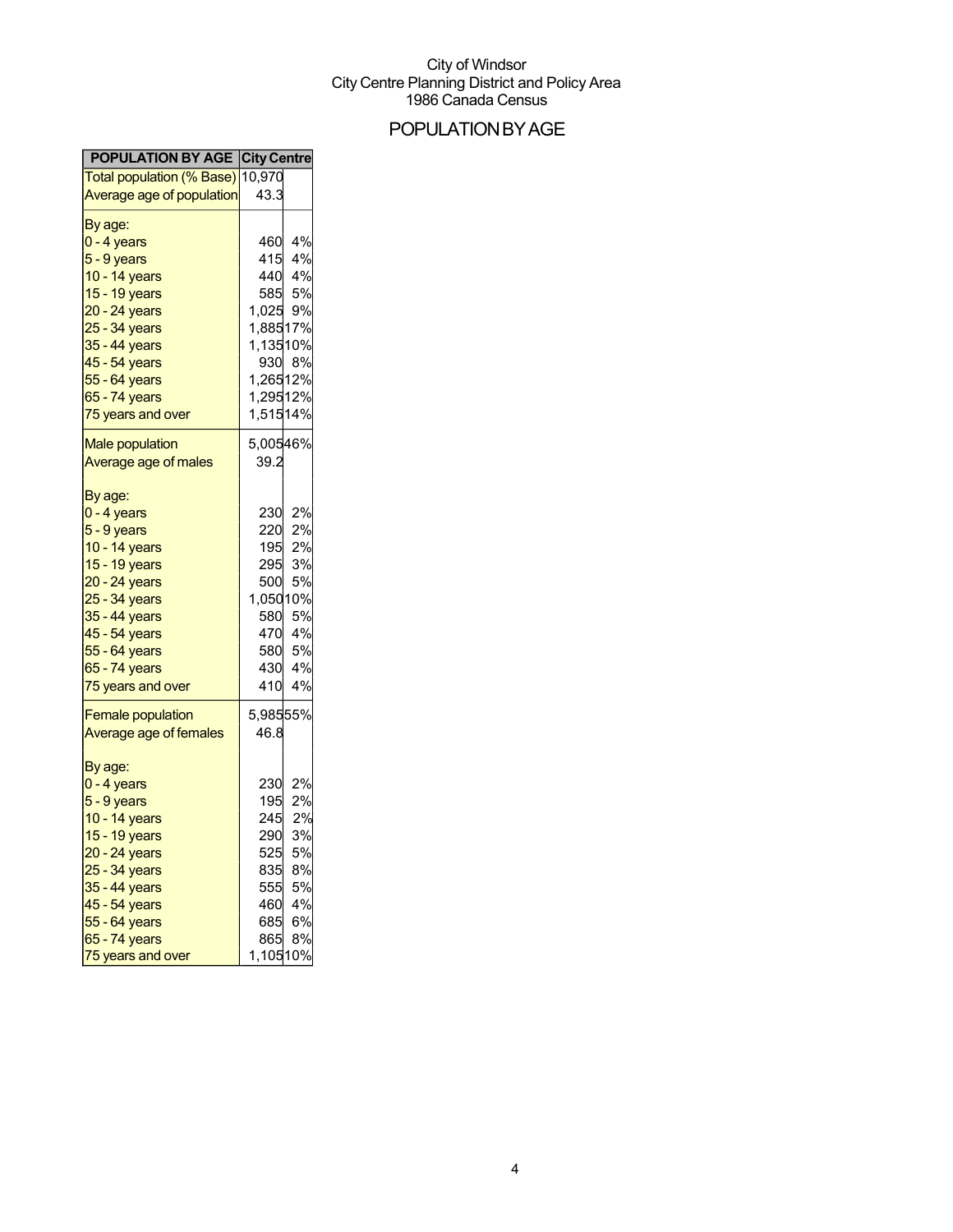## POPULATIONBYAGE

| <b>POPULATION BY AGE City Centre</b>          |                  |
|-----------------------------------------------|------------------|
| <mark>Total population (% Base)</mark> 10,970 |                  |
| <b>Average age of population</b>              | 43.3             |
| By age:                                       |                  |
| 0 - 4 years                                   | 4%<br>460        |
| 5 - 9 years                                   | 415<br>4%        |
| 10 - 14 years                                 | 440 4%           |
| 15 - 19 years                                 | 585<br>5%        |
| 20 - 24 years                                 | 1,025 9%         |
| 25 - 34 years                                 | 1,88517%         |
| 35 - 44 years                                 | 1,13510%         |
| 45 - 54 years                                 | 930 8%           |
| 55 - 64 years                                 | 1,26512%         |
| 65 - 74 years                                 | 1,29512%         |
| 75 years and over                             | 1,51514%         |
| <b>Male population</b>                        | 5,00546%         |
| Average age of males                          | 39.2             |
|                                               |                  |
| By age:                                       |                  |
| 0 - 4 years                                   | 2%<br>230        |
| 5 - 9 years                                   | 220<br>2%        |
| 10 - 14 years                                 | 195<br>2%        |
| 15 - 19 years                                 | 295<br>3%        |
| 20 - 24 years                                 | 500<br><b>5%</b> |
| 25 - 34 years                                 | 1,05010%         |
| 35 - 44 years                                 | 580<br>5%        |
| 45 - 54 years                                 | 4%<br>470        |
| 55 - 64 years                                 | 580<br>5%        |
| 65 - 74 years                                 | 430<br>4%        |
| 75 years and over                             | 4%<br>410        |
| <b>Female population</b>                      | 5,98555%         |
| Average age of females                        | 46.8             |
|                                               |                  |
| By age:                                       | 2%<br>230        |
| 0 - 4 years                                   | 195<br>2%        |
| 5 - 9 years<br>10 - 14 years                  | 2%<br>245        |
| 15 - 19 years                                 | 290<br>3%        |
| 20 - 24 years                                 | 525<br>5%        |
| 25 - 34 years                                 | 8%<br>835        |
| 35 - 44 years                                 | 555<br>5%        |
| 45 - 54 years                                 | 460<br>4%        |
| 55 - 64 years                                 | 685<br>6%        |
| 65 - 74 years                                 | 865<br>8%        |
| 75 years and over                             | 1,10510%         |
|                                               |                  |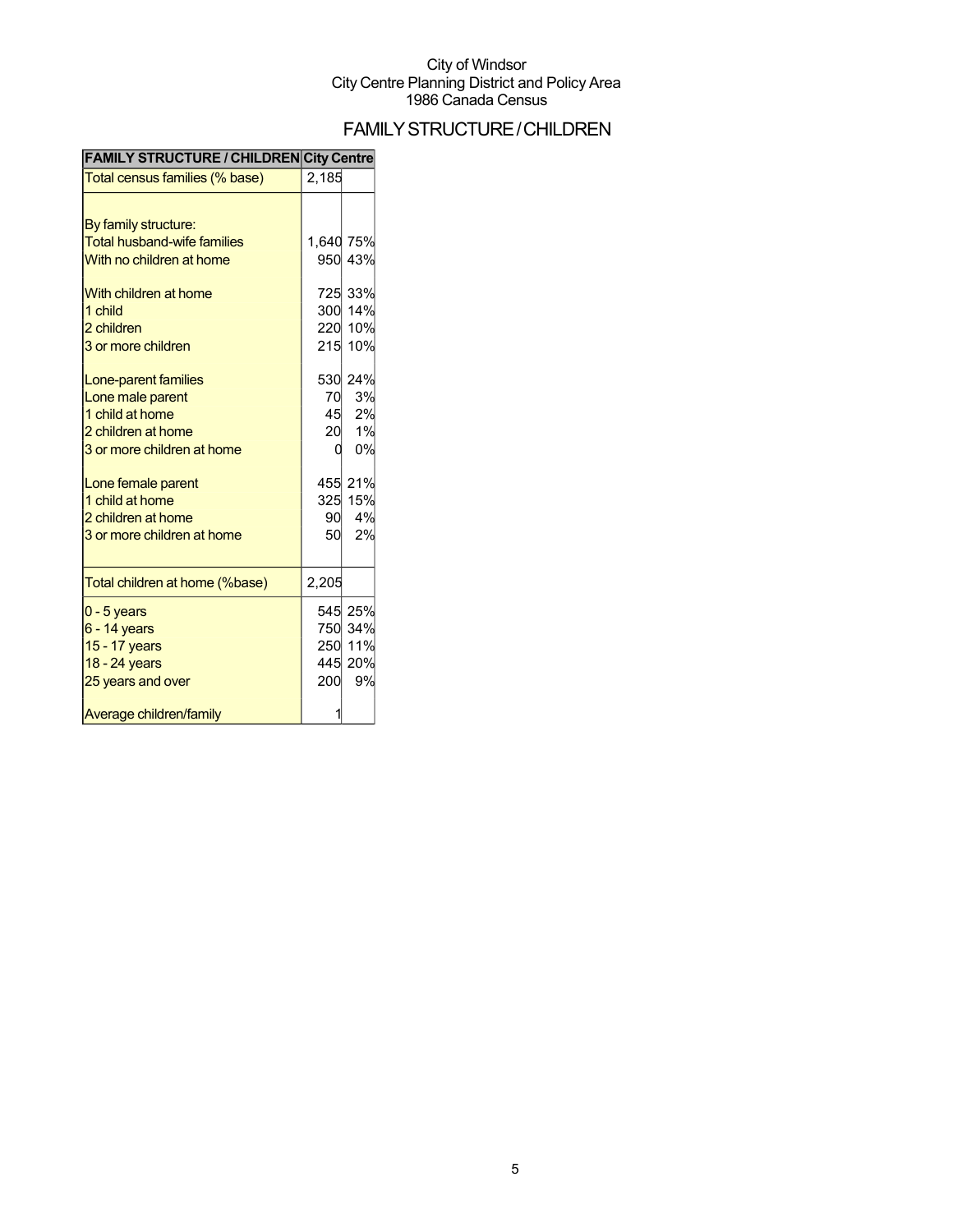## FAMILYSTRUCTURE/CHILDREN

| <b>FAMILY STRUCTURE / CHILDREN City Centre</b> |           |                    |
|------------------------------------------------|-----------|--------------------|
| Total census families (% base)                 | 2,185     |                    |
|                                                |           |                    |
| By family structure:                           |           |                    |
| <b>Total husband-wife families</b>             | 1,640 75% |                    |
| With no children at home                       |           | 950 43%            |
| With children at home                          |           | 725 33%            |
| 1 child                                        |           | 300 14%            |
| 2 children                                     |           | 220 10%            |
| 3 or more children                             |           | 215 10%            |
| Lone-parent families                           |           | 530 24%            |
| Lone male parent                               | 70        | 3%                 |
| 1 child at home                                | 45        | 2%                 |
| 2 children at home                             | 20        | 1%                 |
| 3 or more children at home                     | 0         | 0%                 |
| Lone female parent                             |           | 455 21%            |
| 1 child at home                                |           | 325 15%            |
| 2 children at home                             | 90        | 4%                 |
| 3 or more children at home                     | 50        | 2%                 |
| Total children at home (%base)                 | 2,205     |                    |
|                                                |           |                    |
| $0 - 5$ years                                  |           | 545 25%            |
| $6 - 14$ years<br>15 - 17 years                |           | 750 34%<br>250 11% |
| 18 - 24 years                                  |           | 445 20%            |
| 25 years and over                              | 200       | 9%                 |
|                                                |           |                    |
| Average children/family                        |           |                    |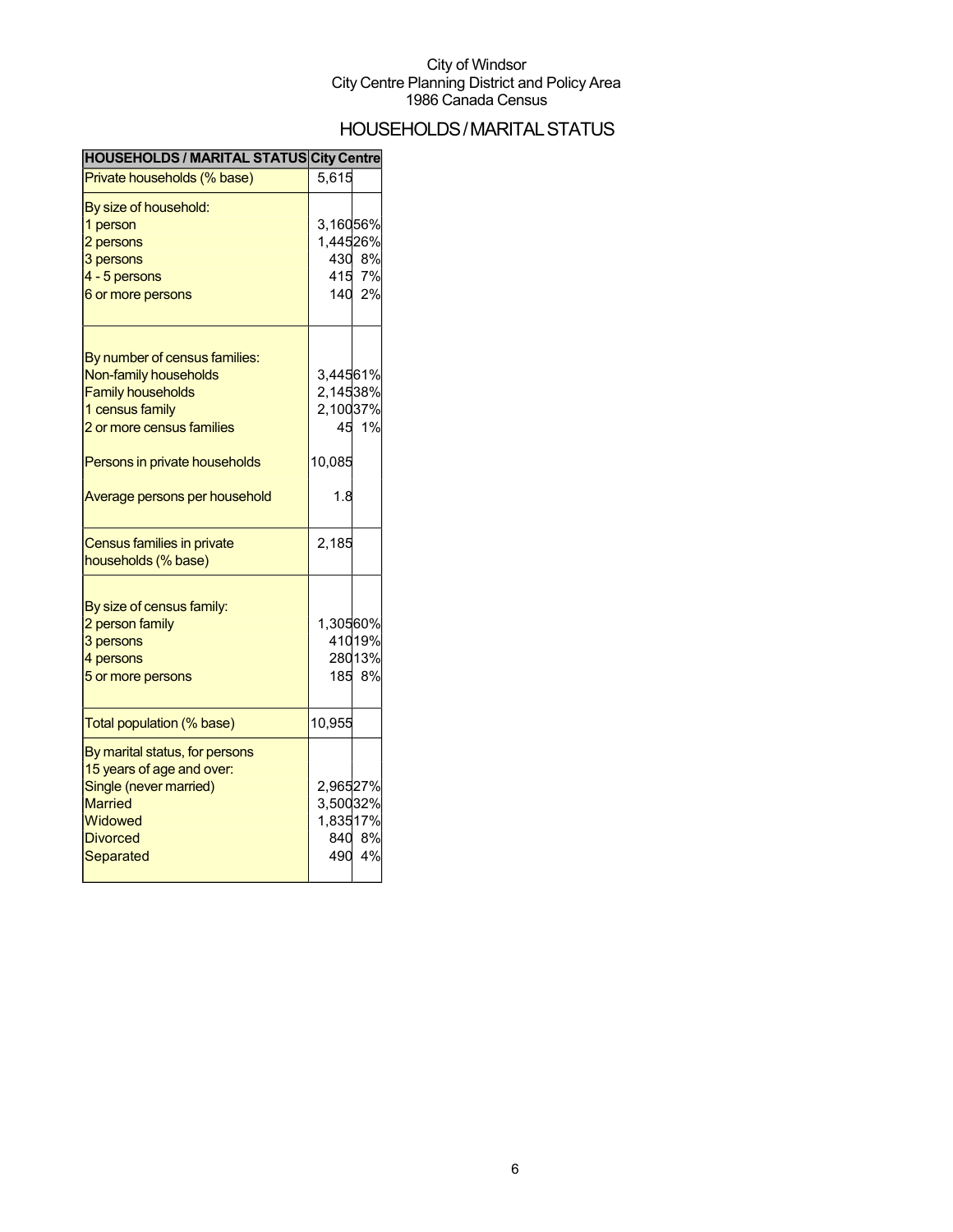## HOUSEHOLDS/MARITALSTATUS

| <b>HOUSEHOLDS / MARITAL STATUS City Centre</b>                                                                                                                                                       |                                                         |                        |
|------------------------------------------------------------------------------------------------------------------------------------------------------------------------------------------------------|---------------------------------------------------------|------------------------|
| Private households (% base)                                                                                                                                                                          | 5,615                                                   |                        |
| By size of household:<br>1 person<br>2 persons<br>3 persons<br>4 - 5 persons<br>6 or more persons                                                                                                    | 3,16056%<br>1,44526%<br>430<br>415<br>140               | 8%<br>7%<br>2%         |
| By number of census families:<br>Non-family households<br><b>Family households</b><br>1 census family<br>2 or more census families<br>Persons in private households<br>Average persons per household | 3,44561%<br>2,14538%<br>2,10037%<br>45<br>10,085<br>1.8 | 1%                     |
| Census families in private<br>households (% base)                                                                                                                                                    | 2,185                                                   |                        |
| By size of census family:<br>2 person family<br>3 persons<br>4 persons<br>5 or more persons                                                                                                          | 1,30560%<br>185                                         | 41019%<br>28013%<br>8% |
| Total population (% base)                                                                                                                                                                            | 10,955                                                  |                        |
| By marital status, for persons<br>15 years of age and over:<br>Single (never married)<br><b>Married</b><br>Widowed<br><b>Divorced</b><br>Separated                                                   | 2,96527%<br>3,50032%<br>1,83517%<br>840<br>490          | 8%<br>4%               |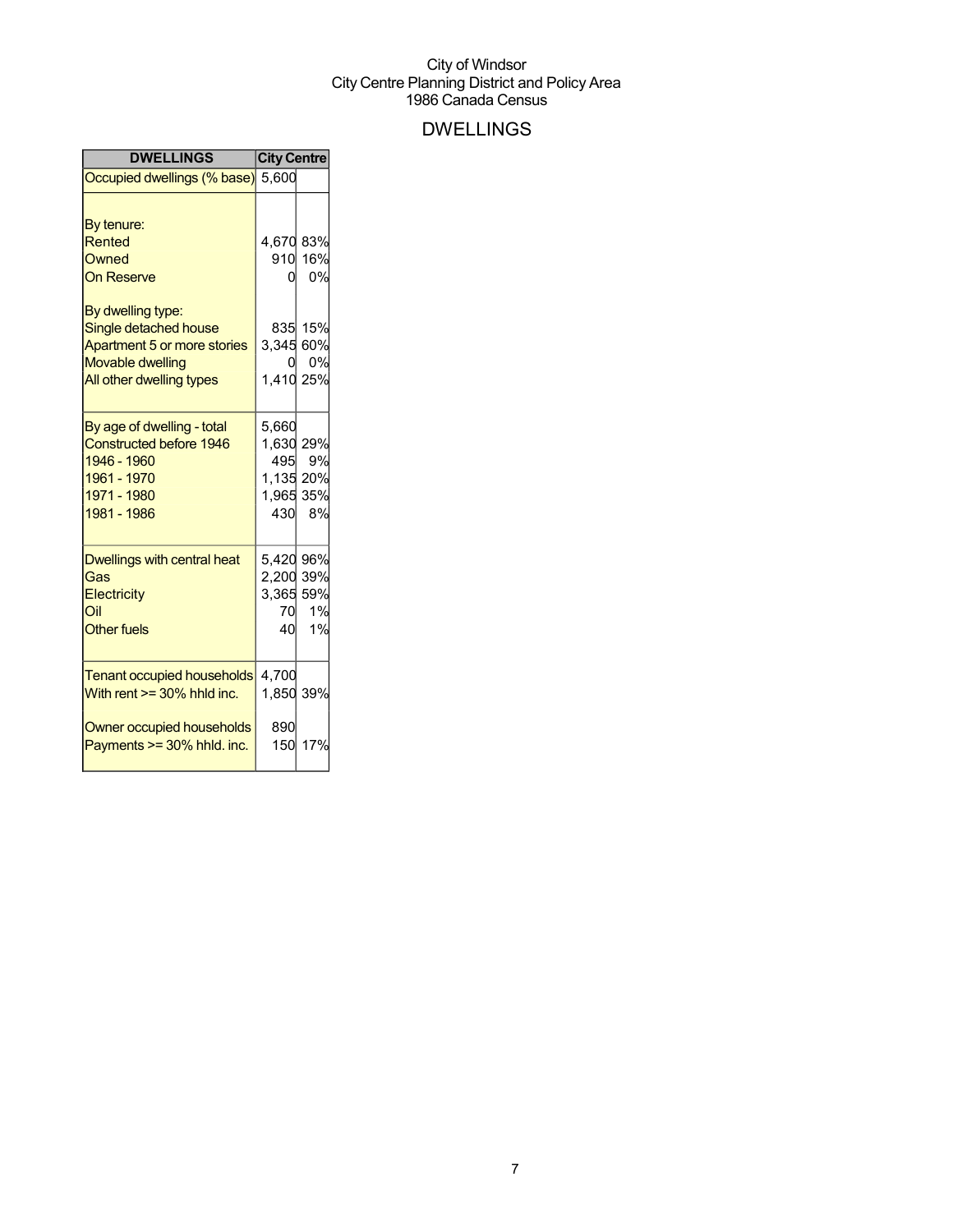## DWELLINGS

| <b>DWELLINGS</b>                                                                                                                 | <b>City Centre</b>                                         |               |
|----------------------------------------------------------------------------------------------------------------------------------|------------------------------------------------------------|---------------|
| Occupied dwellings (% base) 5,600                                                                                                |                                                            |               |
| By tenure:<br>Rented<br>Owned<br><b>On Reserve</b>                                                                               | 4,670 83%<br>0l                                            | 910 16%<br>0% |
| By dwelling type:<br>Single detached house<br>Apartment 5 or more stories<br><b>Movable dwelling</b><br>All other dwelling types | 3,345 60%<br>O.<br>1,410 25%                               | 835 15%<br>0% |
| By age of dwelling - total<br><b>Constructed before 1946</b><br>1946 - 1960<br>1961 - 1970<br>1971 - 1980<br>1981 - 1986         | 5,660<br>1,630 29%<br>495<br>1,135 20%<br>1,965 35%<br>430 | 9%<br>8%      |
| Dwellings with central heat<br>Gas<br>Electricity<br>Oil<br><b>Other fuels</b>                                                   | 5,420 96%<br>2,200 39%<br>3,365 59%<br>70<br>40            | 1%<br>1%      |
| <b>Tenant occupied households</b><br>With rent $>=$ 30% hhld inc.<br>Owner occupied households                                   | 4,700<br>1,850 39%<br>890                                  |               |
| Payments >= 30% hhld. inc.                                                                                                       | 150                                                        | 17%           |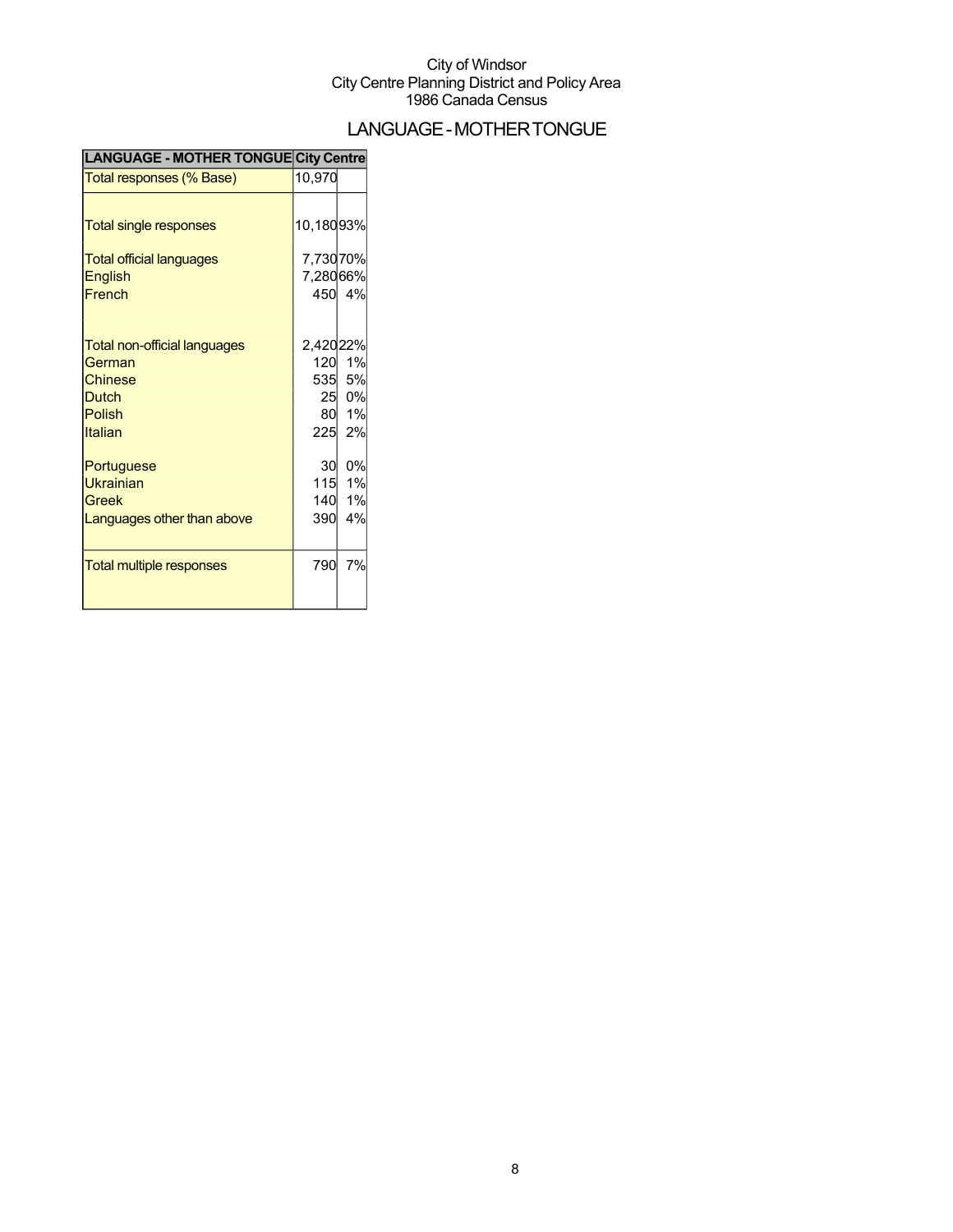## LANGUAGE-MOTHERTONGUE

| LANGUAGE - MOTHER TONGUE City Centre |           |        |
|--------------------------------------|-----------|--------|
| Total responses (% Base)             | 10,970    |        |
|                                      |           |        |
| <b>Total single responses</b>        | 10,18093% |        |
| <b>Total official languages</b>      | 7,73070%  |        |
| <b>English</b>                       | 7,28066%  |        |
| French                               |           | 450 4% |
|                                      |           |        |
| Total non-official languages         | 2,42022%  |        |
| German                               | 120       | 1%     |
| Chinese                              |           | 535 5% |
| <b>Dutch</b>                         |           | 25 0%  |
| <b>Polish</b>                        | 80        | 1%     |
| Italian                              |           | 225 2% |
| Portuguese                           | 30        | 0%     |
| <b>Ukrainian</b>                     | 115       | 1%     |
| Greek                                | 140       | 1%     |
| Languages other than above           | 390       | 4%     |
|                                      |           |        |
| <b>Total multiple responses</b>      | 790       | 7%     |
|                                      |           |        |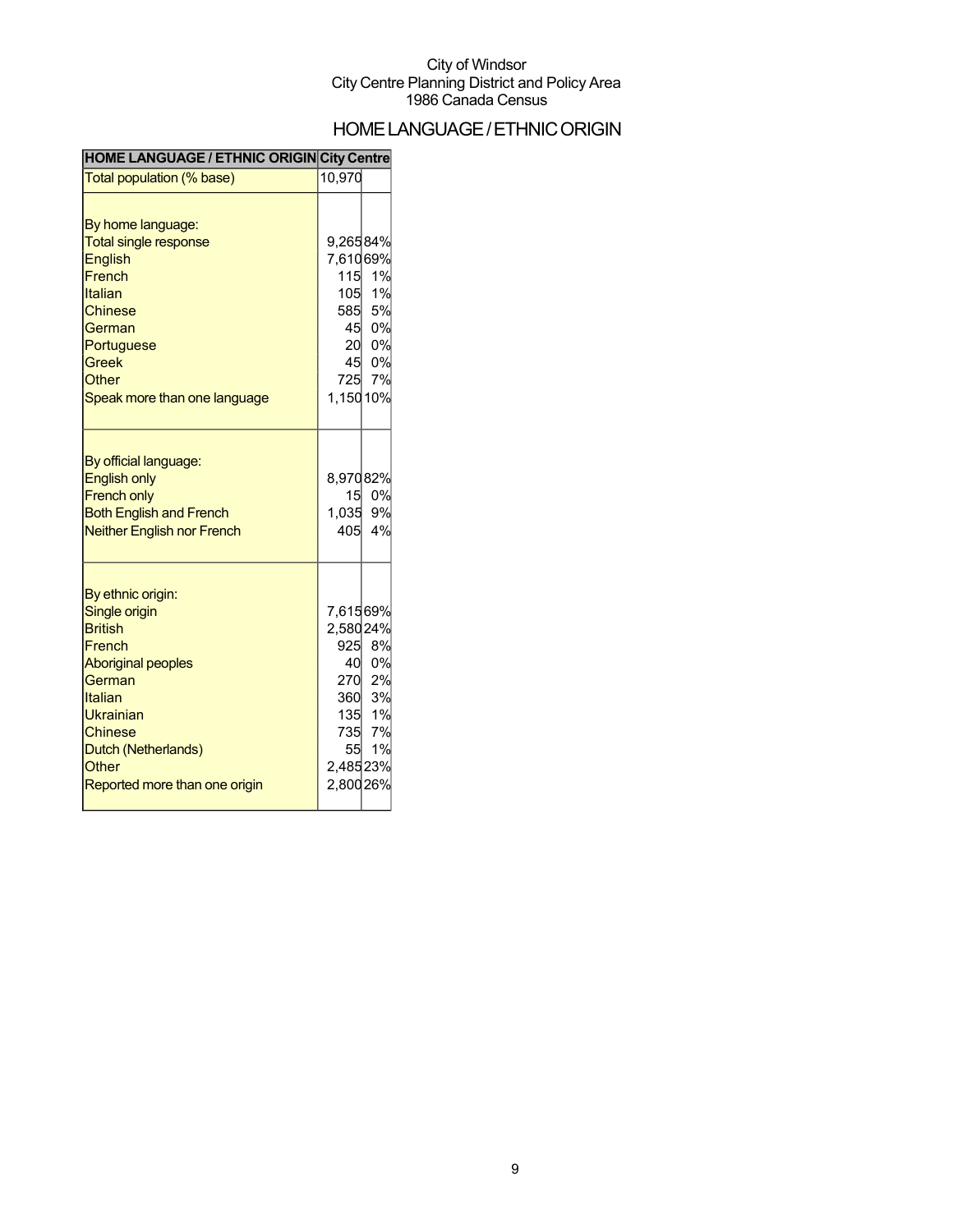## HOME LANGUAGE / ETHNIC ORIGIN

| Total population (% base)                                                                                                                                                                                        | 10,970                                                                         |                                                        |
|------------------------------------------------------------------------------------------------------------------------------------------------------------------------------------------------------------------|--------------------------------------------------------------------------------|--------------------------------------------------------|
| By home language:<br><b>Total single response</b><br>English<br>French<br>Italian<br>Chinese<br>German<br>Portuguese<br><b>Greek</b><br>Other<br>Speak more than one language                                    | 9,26584%<br>7,61069%<br>115<br>105<br>585<br>45<br>20<br>45<br>725<br>1,15010% | 1%<br>1%<br>5%<br>0%<br>0%<br>0%<br>7%                 |
| By official language:<br><b>English only</b><br><b>French only</b><br><b>Both English and French</b><br><b>Neither English nor French</b>                                                                        | 8,97082%<br>15<br>1,035<br>405                                                 | 0%<br>9%<br>4%                                         |
| By ethnic origin:<br>Single origin<br><b>British</b><br>French<br><b>Aboriginal peoples</b><br>German<br>Italian<br>Ukrainian<br><b>Chinese</b><br>Dutch (Netherlands)<br>Other<br>Reported more than one origin | 7,61569%<br>2,58024%<br>925<br>40<br>55<br>2,48523%<br>2,80026%                | 8%<br>0%<br>270 2%<br>360 3%<br>135 1%<br>735 7%<br>1% |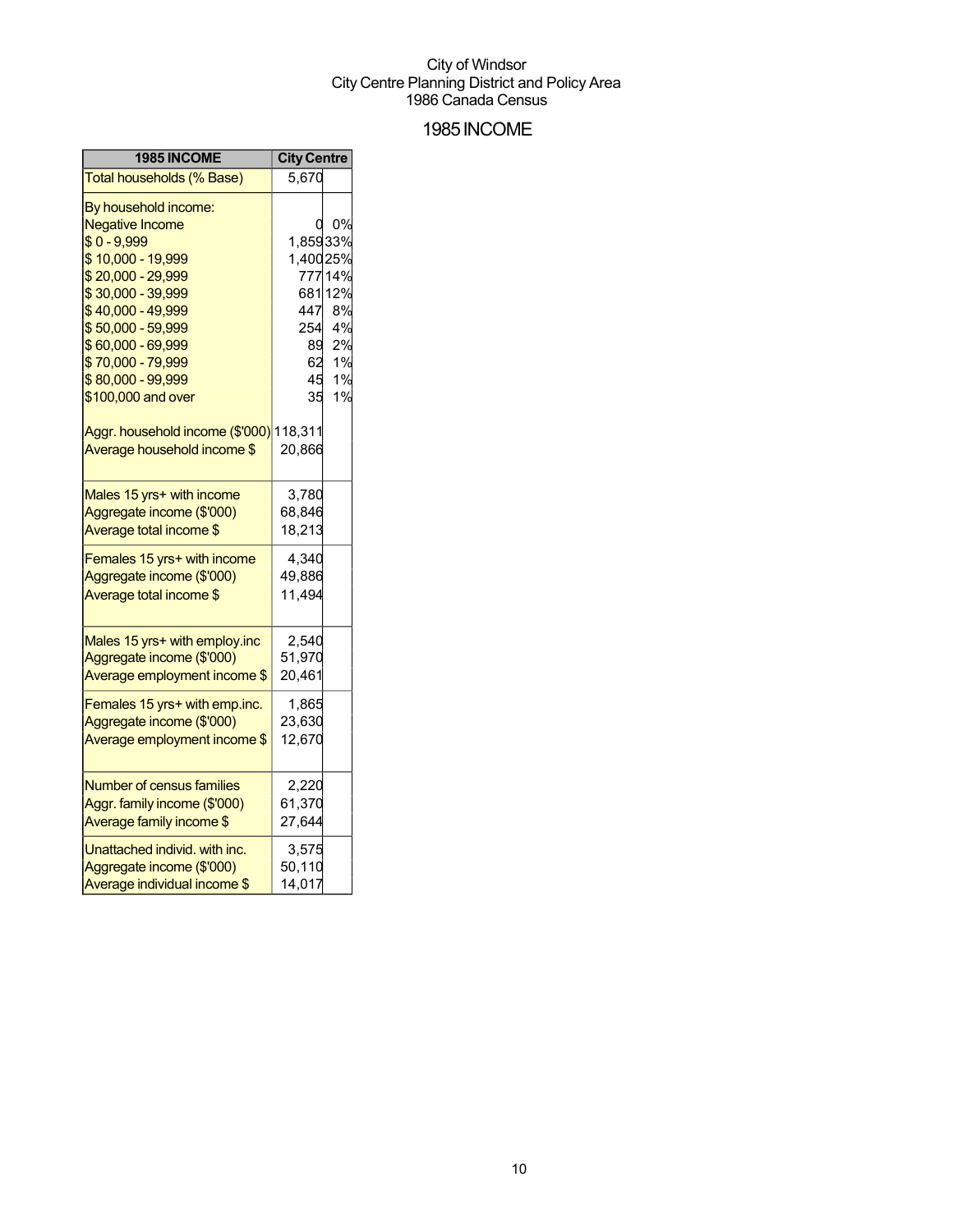### 1985INCOME

| 1985 INCOME                             | <b>City Centre</b> |         |
|-----------------------------------------|--------------------|---------|
| Total households (% Base)               | 5,670              |         |
| By household income:                    |                    |         |
| <b>Negative Income</b>                  | 0                  | 0%      |
| $$0 - 9,999$                            | 1,85933%           |         |
| \$10,000 - 19,999                       | 1,40025%           |         |
| \$20,000 - 29,999                       |                    | 777 14% |
| \$30,000 - 39,999                       |                    | 68112%  |
| \$40,000 - 49,999                       | 447                | 8%      |
| \$50,000 - 59,999                       | 254                | 4%      |
| \$60,000 - 69,999                       | 89                 | 2%      |
| \$70,000 - 79,999                       | 62                 | 1%      |
| \$80,000 - 99,999                       | 45                 | 1%      |
| \$100,000 and over                      | 35                 | 1%      |
| Aggr. household income (\$'000) 118,311 |                    |         |
| Average household income \$             | 20,866             |         |
|                                         |                    |         |
| Males 15 yrs+ with income               | 3,780              |         |
| Aggregate income (\$'000)               | 68,846             |         |
| Average total income \$                 | 18,213             |         |
| Females 15 yrs+ with income             | 4,340              |         |
| Aggregate income (\$'000)               | 49,886             |         |
| Average total income \$                 | 11,494             |         |
|                                         |                    |         |
| Males 15 yrs+ with employ.inc           | 2,540              |         |
| Aggregate income (\$'000)               | 51,970             |         |
| Average employment income \$            | 20,461             |         |
| Females 15 yrs+ with emp.inc.           | 1,865              |         |
| Aggregate income (\$'000)               | 23,630             |         |
| Average employment income \$            | 12,670             |         |
|                                         |                    |         |
| <b>Number of census families</b>        | 2,220              |         |
| Aggr. family income (\$'000)            | 61,370             |         |
| Average family income \$                | 27,644             |         |
| Unattached individ. with inc.           | 3,575              |         |
| Aggregate income (\$'000)               | 50,110             |         |
| Average individual income \$            | 14,017             |         |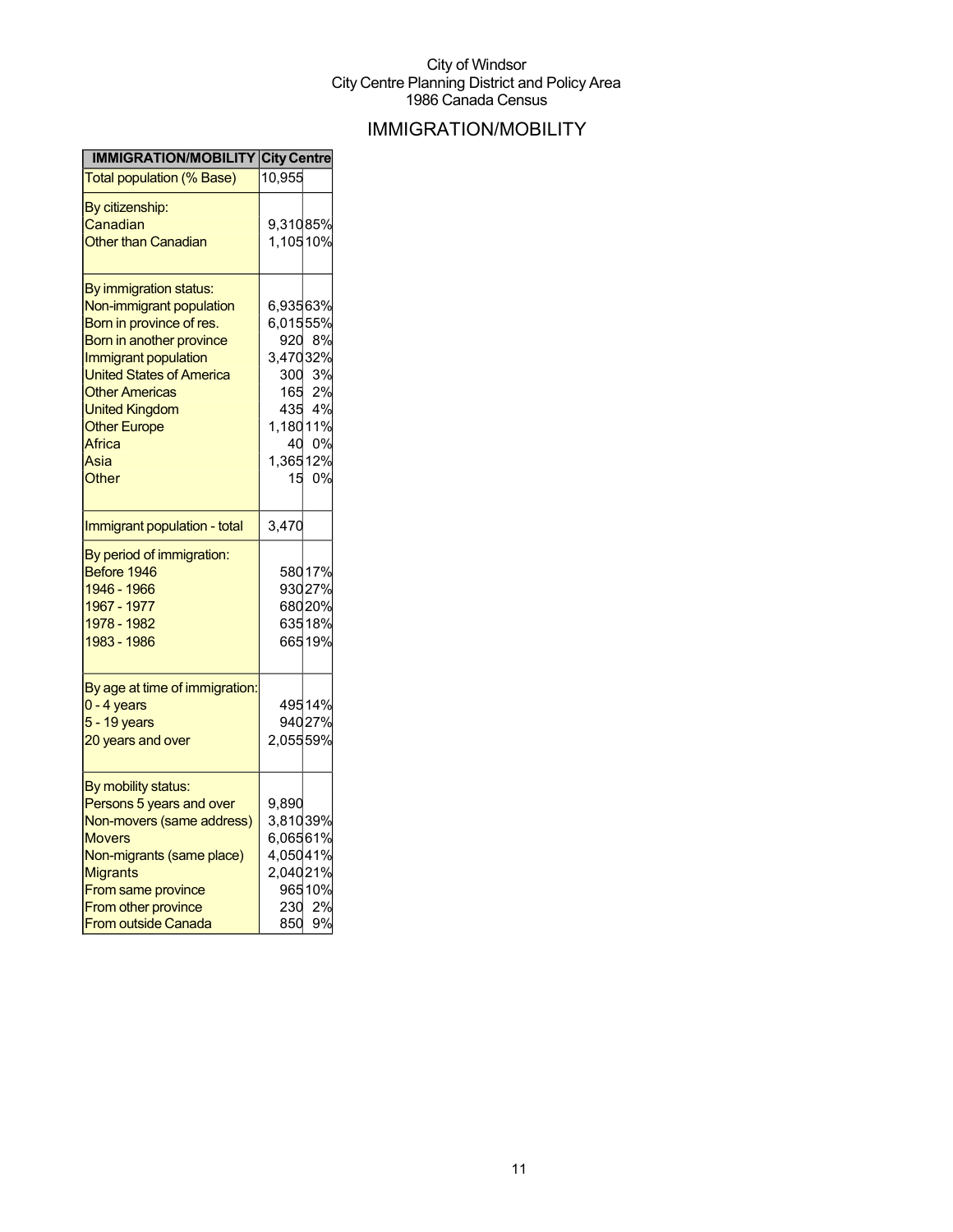## IMMIGRATION/MOBILITY

| <b>IMMIGRATION/MOBILITY City Centre</b> |           |                  |
|-----------------------------------------|-----------|------------------|
| <b>Total population (% Base)</b>        | 10,955    |                  |
| By citizenship:                         |           |                  |
| Canadian                                | 9,31085%  |                  |
| <b>Other than Canadian</b>              | 1,105 10% |                  |
| By immigration status:                  |           |                  |
| Non-immigrant population                | 6,93563%  |                  |
| Born in province of res.                | 6,01555%  |                  |
| Born in another province                | 920       | 8%               |
| Immigrant population                    | 3,47032%  |                  |
| <b>United States of America</b>         |           | 300 3%           |
| <b>Other Americas</b>                   |           |                  |
| <b>United Kingdom</b>                   |           | 165 2%<br>435 4% |
| <b>Other Europe</b>                     | 1,180 11% |                  |
| Africa                                  |           | 40 0%            |
| Asia                                    | 1,365 12% |                  |
| Other                                   | 15        | 0%               |
|                                         |           |                  |
| Immigrant population - total            | 3,470     |                  |
| By period of immigration:               |           |                  |
| Before 1946                             |           | 58017%           |
| 1946 - 1966                             |           | 93027%           |
| 1967 - 1977                             |           | 68020%           |
| 1978 - 1982                             |           | 63518%           |
| 1983 - 1986                             |           | 66519%           |
| By age at time of immigration:          |           |                  |
| $0 - 4$ years                           |           | 49514%           |
| 5 - 19 years                            |           | 94027%           |
| 20 years and over                       | 2,05559%  |                  |
|                                         |           |                  |
| By mobility status:                     |           |                  |
| Persons 5 years and over                | 9.890     |                  |
| Non-movers (same address)               | 3,81039%  |                  |
| <b>Movers</b>                           | 6,06561%  |                  |
| Non-migrants (same place)               | 4,05041%  |                  |
| <b>Migrants</b>                         | 2,04021%  |                  |
| From same province                      |           | 96510%           |
| From other province                     | 230       | 2%               |
| From outside Canada                     | 850       | 9%               |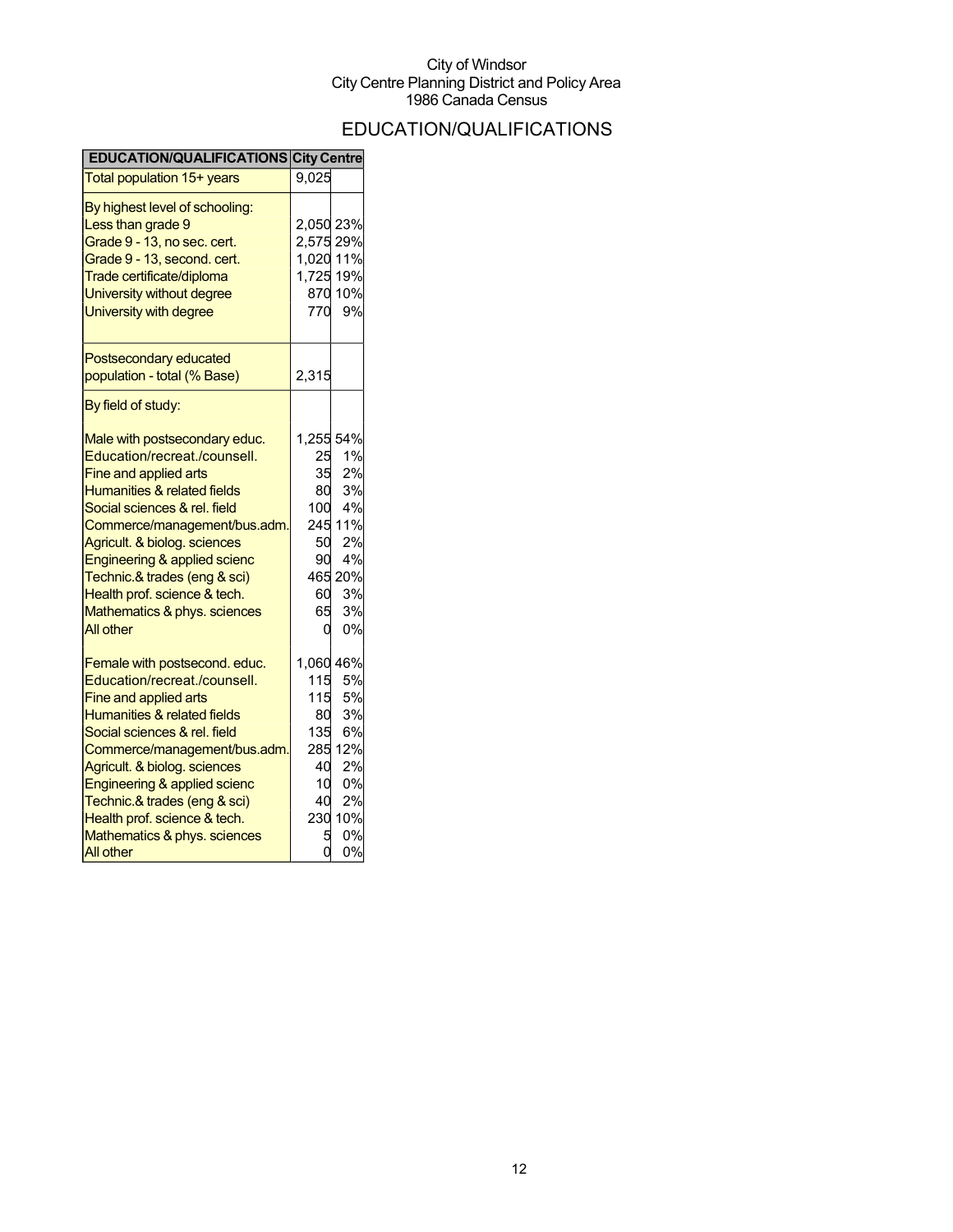## EDUCATION/QUALIFICATIONS

| <b>EDUCATION/QUALIFICATIONS City Centre</b>                                                                                                                                                                                                                                                                                                                                          |                                                           |                                                                                    |
|--------------------------------------------------------------------------------------------------------------------------------------------------------------------------------------------------------------------------------------------------------------------------------------------------------------------------------------------------------------------------------------|-----------------------------------------------------------|------------------------------------------------------------------------------------|
| Total population 15+ years                                                                                                                                                                                                                                                                                                                                                           | 9,025                                                     |                                                                                    |
| By highest level of schooling:<br>Less than grade 9<br>Grade 9 - 13, no sec. cert.<br>Grade 9 - 13, second. cert.<br>Trade certificate/diploma<br>University without degree<br>University with degree                                                                                                                                                                                | 2,050 23%<br>2,575 29%<br>1,020 11%<br>1,725 19%          | 870 10%<br>770 9%                                                                  |
| Postsecondary educated<br>population - total (% Base)                                                                                                                                                                                                                                                                                                                                | 2,315                                                     |                                                                                    |
| By field of study:                                                                                                                                                                                                                                                                                                                                                                   |                                                           |                                                                                    |
| Male with postsecondary educ.<br>Education/recreat./counsell.<br>Fine and applied arts<br>Humanities & related fields<br>Social sciences & rel. field<br>Commerce/management/bus.adm.<br>Agricult. & biolog. sciences<br>Engineering & applied scienc<br>Technic.& trades (eng & sci)<br>Health prof. science & tech.<br>Mathematics & phys. sciences<br>All other                   | 1,255 54%<br>25<br>35<br>80<br>100<br>90<br>60<br>65<br>0 | 1%<br>2%<br>3%<br>4%<br>245 11%<br>50 2%<br>4%<br>465 20%<br>3%<br>3%<br>0%        |
| Female with postsecond. educ.<br>Education/recreat./counsell.<br>Fine and applied arts<br><b>Humanities &amp; related fields</b><br>Social sciences & rel. field<br>Commerce/management/bus.adm.<br>Agricult. & biolog. sciences<br>Engineering & applied scienc<br>Technic.& trades (eng & sci)<br>Health prof. science & tech.<br>Mathematics & phys. sciences<br><b>All other</b> | 1,060 46%<br>115<br>135<br>40<br>40<br>5                  | 5%<br>115 5%<br>80 3%<br>6%<br>285 12%<br>2%<br>10 0%<br>2%<br>230 10%<br>0%<br>0% |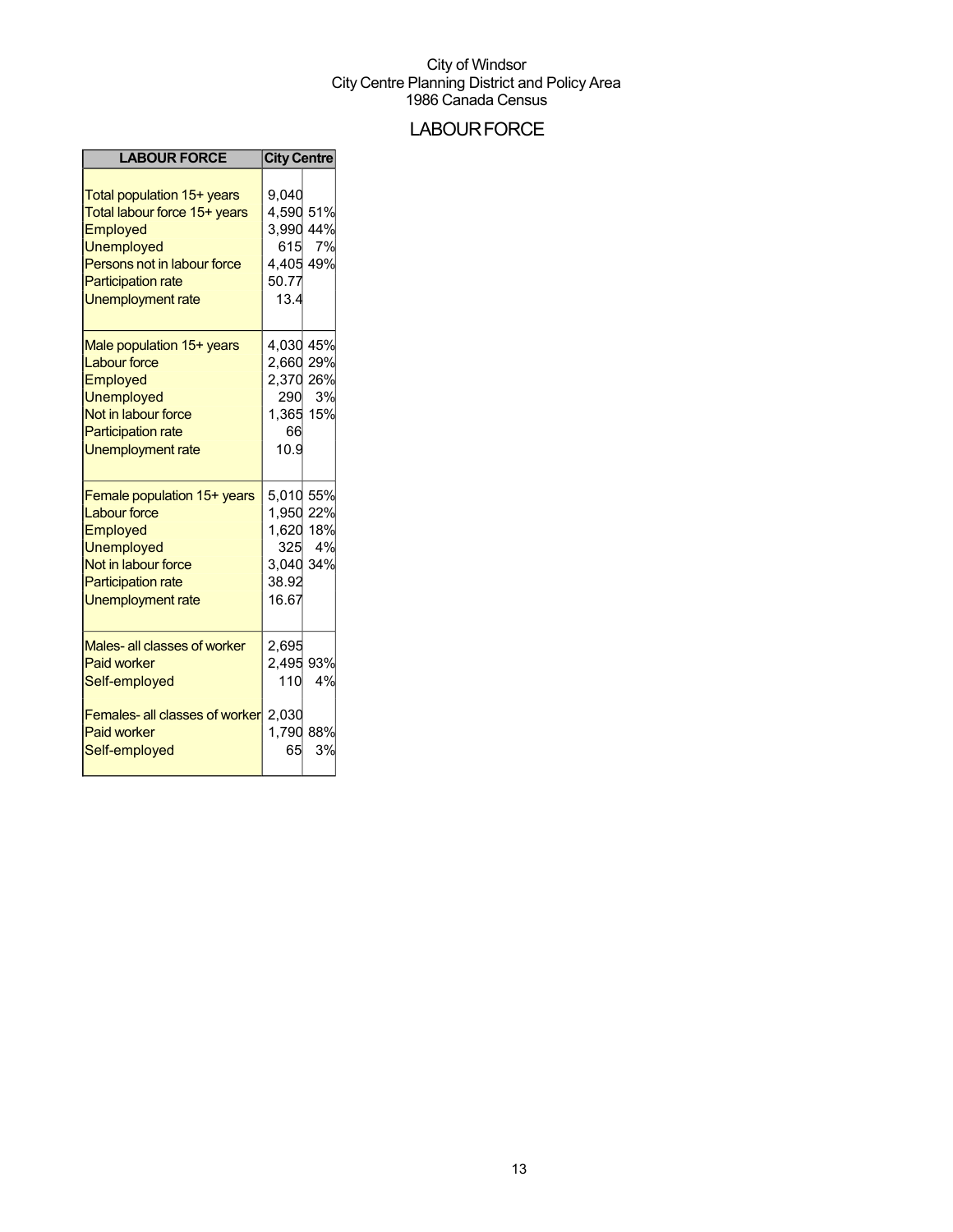## **LABOUR FORCE**

| <b>LABOUR FORCE</b>                                                                                                                                                                 | <b>City Centre</b>                                                        |           |
|-------------------------------------------------------------------------------------------------------------------------------------------------------------------------------------|---------------------------------------------------------------------------|-----------|
| Total population 15+ years<br>Total labour force 15+ years<br><b>Employed</b><br><b>Unemployed</b><br>Persons not in labour force<br><b>Participation rate</b><br>Unemployment rate | 9.040<br>4,590 51%<br>3,990<br>615<br>4,405 49%<br>50.77<br>13.4          | 44%<br>7% |
| Male population 15+ years<br><b>Labour force</b><br>Employed<br><b>Unemployed</b><br>Not in labour force<br><b>Participation rate</b><br><b>Unemployment rate</b>                   | 4,030 45%<br>2,660 29%<br>2,370 26%<br>290<br>1,365 15%<br>66<br>10.9     | 3%        |
| Female population 15+ years<br><b>Labour force</b><br>Employed<br><b>Unemployed</b><br>Not in labour force<br><b>Participation rate</b><br><b>Unemployment rate</b>                 | 5,010 55%<br>1,950 22%<br>1,620 18%<br>325<br>3,040 34%<br>38.92<br>16.67 | 4%        |
| Males- all classes of worker<br><b>Paid worker</b><br>Self-employed                                                                                                                 | 2,695<br>2,495 93%<br>110                                                 | 4%        |
| Females- all classes of worker<br><b>Paid worker</b><br>Self-employed                                                                                                               | 2.030<br>1,790<br>65                                                      | 88%<br>3% |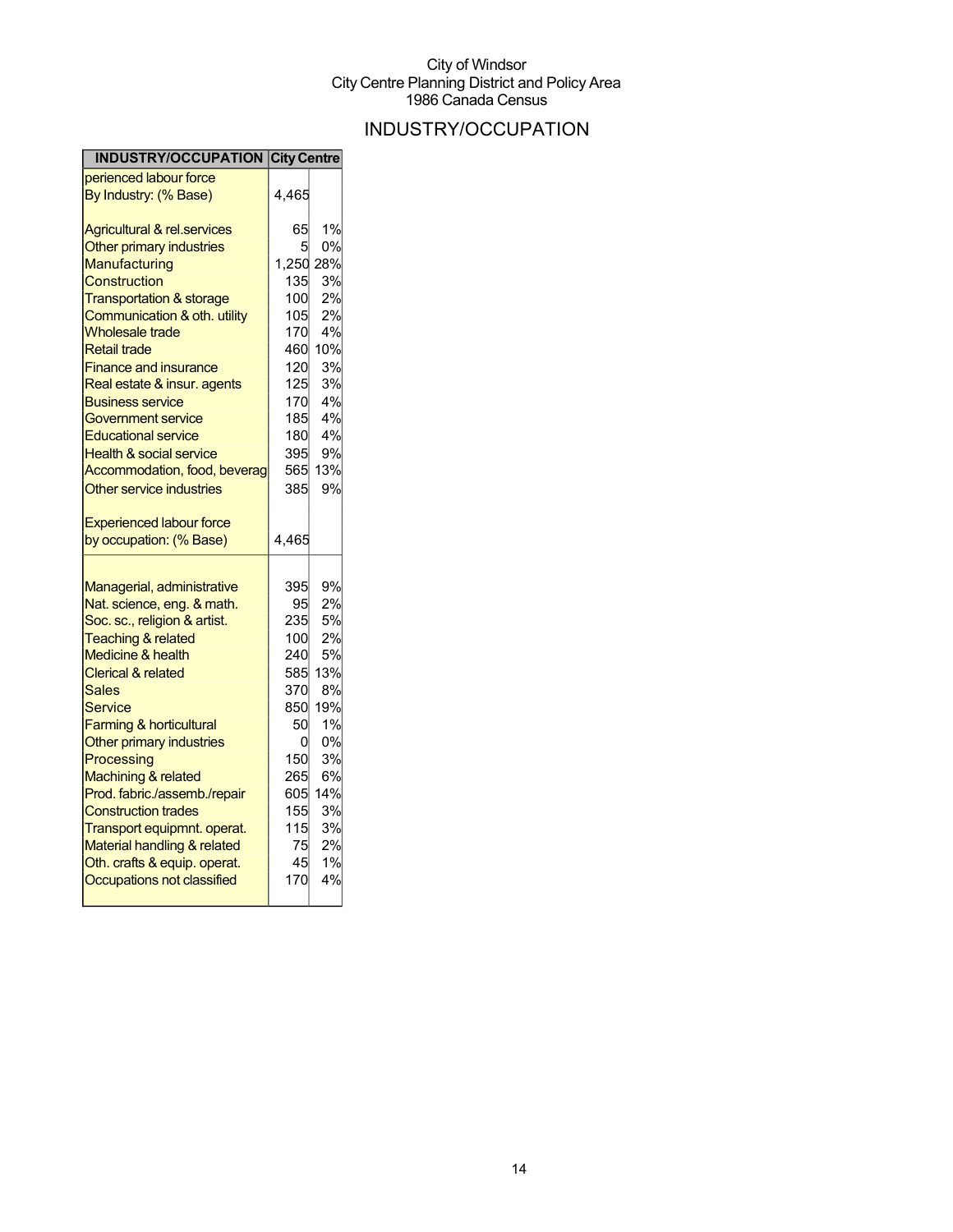## INDUSTRY/OCCUPATION

| <b>INDUSTRY/OCCUPATION City Centre</b>                         |            |           |
|----------------------------------------------------------------|------------|-----------|
| perienced labour force                                         |            |           |
| By Industry: (% Base)                                          | 4,465      |           |
| <b>Agricultural &amp; rel.services</b>                         | 65         | 1%        |
| Other primary industries                                       | 5          | 0%        |
| Manufacturing                                                  | 1,250 28%  |           |
| Construction                                                   | 135        | 3%        |
| <b>Transportation &amp; storage</b>                            | 100        | 2%        |
| Communication & oth. utility                                   | 105        | 2%        |
| <b>Wholesale trade</b>                                         | 170        | 4%        |
| <b>Retail trade</b>                                            | 460        | 10%       |
| <b>Finance and insurance</b>                                   | 120        | 3%        |
| Real estate & insur. agents                                    | 125        | 3%        |
| <b>Business service</b>                                        | 170        | 4%        |
| Government service                                             | 185        | 4%        |
| <b>Educational service</b>                                     | 180        | 4%        |
| <b>Health &amp; social service</b>                             | 395        | 9%        |
| Accommodation, food, beverag                                   | 565        | 13%       |
| Other service industries                                       | 385        | 9%        |
| <b>Experienced labour force</b>                                |            |           |
| by occupation: (% Base)                                        | 4,465      |           |
|                                                                |            |           |
| Managerial, administrative                                     | 395        | 9%        |
| Nat. science, eng. & math.                                     | 95         | 2%        |
|                                                                |            |           |
|                                                                |            |           |
| Soc. sc., religion & artist.                                   | 235        | 5%        |
| <b>Teaching &amp; related</b><br><b>Medicine &amp; health</b>  | 100<br>240 | 2%<br>5%  |
| <b>Clerical &amp; related</b>                                  |            |           |
| Sales                                                          | 585<br>370 | 13%<br>8% |
| Service                                                        |            |           |
|                                                                | 850<br>50  | 19%<br>1% |
| <b>Farming &amp; horticultural</b><br>Other primary industries | 0          | 0%        |
| Processing                                                     | 150        | 3%        |
| Machining & related                                            | 265        | 6%        |
| Prod. fabric./assemb./repair                                   | 605        | 14%       |
| <b>Construction trades</b>                                     | 155        | 3%        |
| Transport equipmnt. operat.                                    | 115        | 3%        |
| Material handling & related                                    | 75         | 2%        |
| Oth. crafts & equip. operat.                                   | 45         | 1%        |
| Occupations not classified                                     | 170        | 4%        |